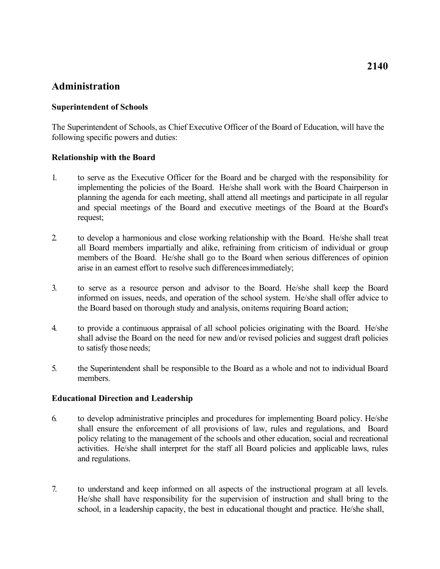# **Administration**

### **Superintendent of Schools**

 The Superintendent of Schools, as Chief Executive Officer of the Board of Education, will have the following specific powers and duties:

#### **Relationship with the Board**

- implementing the policies of the Board. He/she shall work with the Board Chairperson in 1. to serve as the Executive Officer for the Board and be charged with the responsibility for planning the agenda for each meeting, shall attend all meetings and participate in all regular and special meetings of the Board and executive meetings of the Board at the Board's request;
- all Board members impartially and alike, refraining from criticism of individual or group arise in an earnest effort to resolve such differencesimmediately; 2. to develop a harmonious and close working relationship with the Board. He/she shall treat members of the Board. He/she shall go to the Board when serious differences of opinion
- 3. to serve as a resource person and advisor to the Board. He/she shall keep the Board informed on issues, needs, and operation of the school system. He/she shall offer advice to the Board based on thorough study and analysis, onitems requiring Board action;
- 4. to provide a continuous appraisal of all school policies originating with the Board. He/she to satisfy those needs; shall advise the Board on the need for new and/or revised policies and suggest draft policies
- 5. the Superintendent shall be responsible to the Board as a whole and not to individual Board members.

#### **Educational Direction and Leadership**

- and regulations. 6. to develop administrative principles and procedures for implementing Board policy. He/she shall ensure the enforcement of all provisions of law, rules and regulations, and Board policy relating to the management of the schools and other education, social and recreational activities. He/she shall interpret for the staff all Board policies and applicable laws, rules
- school, in a leadership capacity, the best in educational thought and practice. He/she shall, 7. to understand and keep informed on all aspects of the instructional program at all levels. He/she shall have responsibility for the supervision of instruction and shall bring to the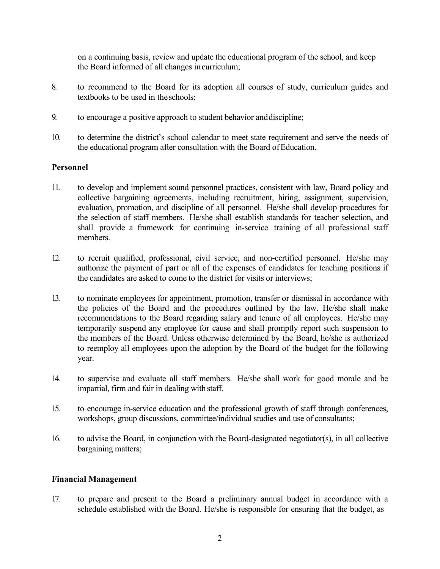the Board informed of all changes incurriculum; on a continuing basis, review and update the educational program of the school, and keep

- textbooks to be used in theschools; 8. to recommend to the Board for its adoption all courses of study, curriculum guides and
- 9. to encourage a positive approach to student behavior anddiscipline;
- the educational program after consultation with the Board of Education. 10. to determine the district's school calendar to meet state requirement and serve the needs of

## **Personnel**

- collective bargaining agreements, including recruitment, hiring, assignment, supervision, evaluation, promotion, and discipline of all personnel. He/she shall develop procedures for shall provide a framework for continuing in-service training of all professional staff 11. to develop and implement sound personnel practices, consistent with law, Board policy and the selection of staff members. He/she shall establish standards for teacher selection, and members.
- the candidates are asked to come to the district for visits or interviews; 12. to recruit qualified, professional, civil service, and non-certified personnel. He/she may authorize the payment of part or all of the expenses of candidates for teaching positions if
- 13. to nominate employees for appointment, promotion, transfer or dismissal in accordance with the policies of the Board and the procedures outlined by the law. He/she shall make recommendations to the Board regarding salary and tenure of all employees. He/she may temporarily suspend any employee for cause and shall promptly report such suspension to the members of the Board. Unless otherwise determined by the Board, he/she is authorized to reemploy all employees upon the adoption by the Board of the budget for the following year.
- impartial, firm and fair in dealing with staff. 14. to supervise and evaluate all staff members. He/she shall work for good morale and be
- workshops, group discussions, committee/individual studies and use of consultants; 15. to encourage in-service education and the professional growth of staff through conferences,
- bargaining matters; 16. to advise the Board, in conjunction with the Board-designated negotiator(s), in all collective

## **Financial Management**

 schedule established with the Board. He/she is responsible for ensuring that the budget, as 17. to prepare and present to the Board a preliminary annual budget in accordance with a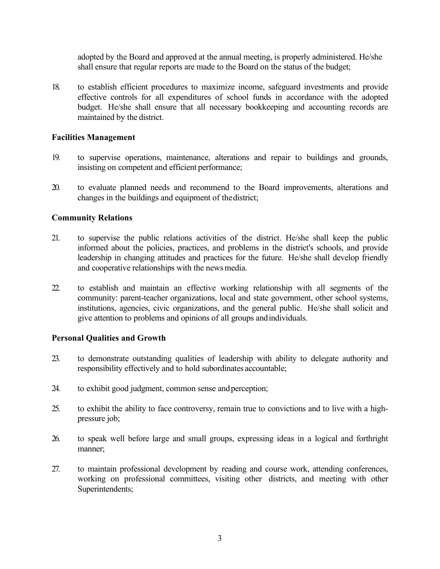adopted by the Board and approved at the annual meeting, is properly administered. He/she shall ensure that regular reports are made to the Board on the status of the budget;

 effective controls for all expenditures of school funds in accordance with the adopted maintained by the district. 18. to establish efficient procedures to maximize income, safeguard investments and provide budget. He/she shall ensure that all necessary bookkeeping and accounting records are

### **Facilities Management**

- 19. to supervise operations, maintenance, alterations and repair to buildings and grounds, insisting on competent and efficient performance;
- changes in the buildings and equipment of thedistrict; 20. to evaluate planned needs and recommend to the Board improvements, alterations and

## **Community Relations**

- and cooperative relationships with the news media. 21. to supervise the public relations activities of the district. He/she shall keep the public informed about the policies, practices, and problems in the district's schools, and provide leadership in changing attitudes and practices for the future. He/she shall develop friendly
- give attention to problems and opinions of all groups andindividuals. 22. to establish and maintain an effective working relationship with all segments of the community: parent-teacher organizations, local and state government, other school systems, institutions, agencies, civic organizations, and the general public. He/she shall solicit and

#### **Personal Qualities and Growth**

- 23. to demonstrate outstanding qualities of leadership with ability to delegate authority and responsibility effectively and to hold subordinates accountable;
- 24. to exhibit good judgment, common sense andperception;
- pressure job; 25. to exhibit the ability to face controversy, remain true to convictions and to live with a high-
- 26. to speak well before large and small groups, expressing ideas in a logical and forthright manner;
- 27. to maintain professional development by reading and course work, attending conferences, working on professional committees, visiting other districts, and meeting with other Superintendents;